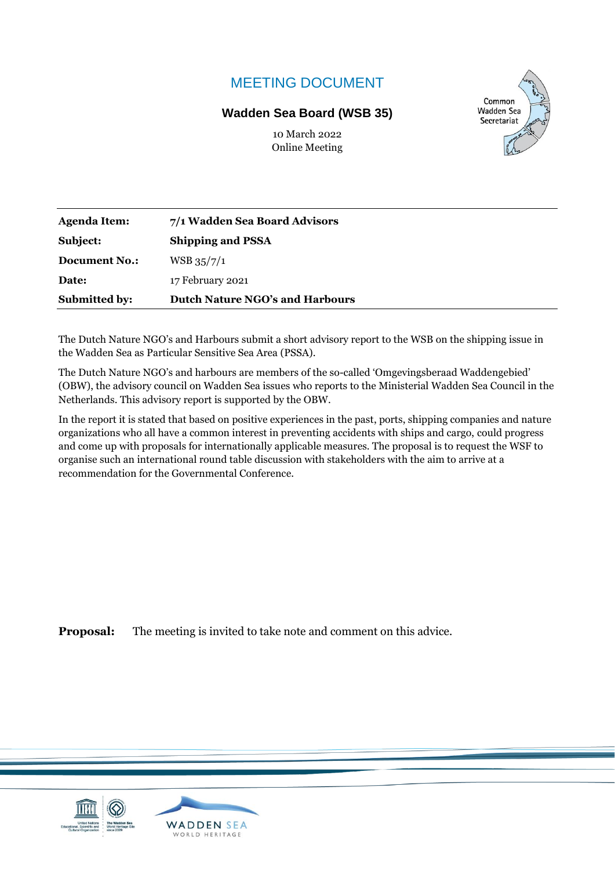## MEETING DOCUMENT

## **Wadden Sea Board (WSB 35)**



10 March 2022 Online Meeting

| <b>Agenda Item:</b>  | 7/1 Wadden Sea Board Advisors          |
|----------------------|----------------------------------------|
| Subject:             | <b>Shipping and PSSA</b>               |
| <b>Document No.:</b> | WSB 35/7/1                             |
| Date:                | 17 February 2021                       |
| <b>Submitted by:</b> | <b>Dutch Nature NGO's and Harbours</b> |

The Dutch Nature NGO's and Harbours submit a short advisory report to the WSB on the shipping issue in the Wadden Sea as Particular Sensitive Sea Area (PSSA).

The Dutch Nature NGO's and harbours are members of the so-called 'Omgevingsberaad Waddengebied' (OBW), the advisory council on Wadden Sea issues who reports to the Ministerial Wadden Sea Council in the Netherlands. This advisory report is supported by the OBW.

In the report it is stated that based on positive experiences in the past, ports, shipping companies and nature organizations who all have a common interest in preventing accidents with ships and cargo, could progress and come up with proposals for internationally applicable measures. The proposal is to request the WSF to organise such an international round table discussion with stakeholders with the aim to arrive at a recommendation for the Governmental Conference.

**Proposal:** The meeting is invited to take note and comment on this advice.